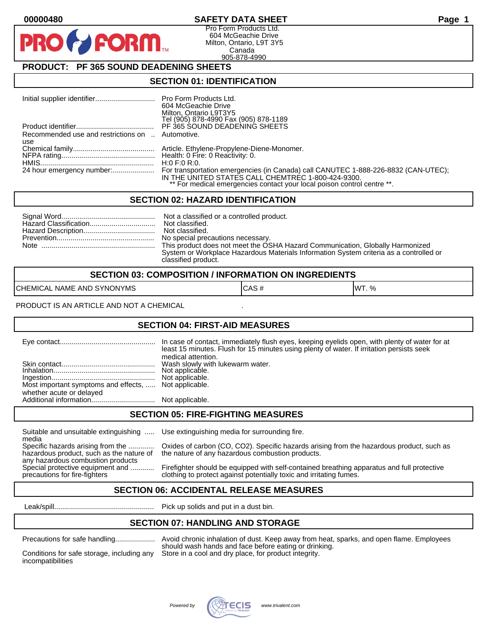## **00000480 SAFETY DATA SHEET Page 1**

Pro Form Products Ltd. 604 McGeachie Drive Milton, Ontario, L9T 3Y5 Canada 905-878-4990

# **PRODUCT: PF 365 SOUND DEADENING SHEETS**

**FORM.** 

### **SECTION 01: IDENTIFICATION**

|                                                  | 604 McGeachie Drive<br>Milton, Ontario L9T3Y5<br>Tel (905) 878-4990 Fax (905) 878-1189 |
|--------------------------------------------------|----------------------------------------------------------------------------------------|
|                                                  | PF 365 SOUND DEADENING SHEETS                                                          |
| Recommended use and restrictions on  Automotive. |                                                                                        |
| use                                              |                                                                                        |
|                                                  |                                                                                        |
|                                                  |                                                                                        |
|                                                  | H:0 F:0 R:0.                                                                           |
|                                                  | For transportation emergencies (in Canada) call CANUTEC 1-888-226-8832 (CAN-UTEC);     |
|                                                  | IN THE UNITED STATES CALL CHEMTREC 1-800-424-9300.                                     |
|                                                  | ** For medical emergencies contact your local poison control centre **.                |

#### **SECTION 02: HAZARD IDENTIFICATION**

| No special precautions necessary.                                                      |
|----------------------------------------------------------------------------------------|
| This product does not meet the OSHA Hazard Communication, Globally Harmonized          |
| System or Workplace Hazardous Materials Information System criteria as a controlled or |
| classified product.                                                                    |

| <b>SECTION 03: COMPOSITION / INFORMATION ON INGREDIENTS</b> |      |              |
|-------------------------------------------------------------|------|--------------|
| CHEMICAL NAME AND SYNONYMS                                  | CAS# | <b>WT.</b> % |

PRODUCT IS AN ARTICLE AND NOT A CHEMICAL

### **SECTION 04: FIRST-AID MEASURES**

|                                                                                   | In case of contact, immediately flush eyes, keeping eyelids open, with plenty of water for at<br>least 15 minutes. Flush for 15 minutes using plenty of water. If irritation persists seek<br>medical attention. |
|-----------------------------------------------------------------------------------|------------------------------------------------------------------------------------------------------------------------------------------------------------------------------------------------------------------|
| Most important symptoms and effects,  Not applicable.<br>whether acute or delayed | Wash slowly with lukewarm water.                                                                                                                                                                                 |
|                                                                                   |                                                                                                                                                                                                                  |

#### **SECTION 05: FIRE-FIGHTING MEASURES**

Suitable and unsuitable extinguishing ..... Use extinguishing media for surrounding fire.

media<br>Specific hazards arising from the ............. hazardous product, such as the nature of the nature of any hazardous combustion products. any hazardous combustion products<br>Special protective equipment and ............

Oxides of carbon (CO, CO2). Specific hazards arising from the hazardous product, such as

Firefighter should be equipped with self-contained breathing apparatus and full protective precautions for fire-fighters clothing to protect against potentially toxic and irritating fumes.

# **SECTION 06: ACCIDENTAL RELEASE MEASURES**

Leak/spill.................................................. Pick up solids and put in a dust bin.

#### **SECTION 07: HANDLING AND STORAGE**

incompatibilities

Precautions for safe handling.................... Avoid chronic inhalation of dust. Keep away from heat, sparks, and open flame. Employees should wash hands and face before eating or drinking. Conditions for safe storage, including any Store in a cool and dry place, for product integrity.

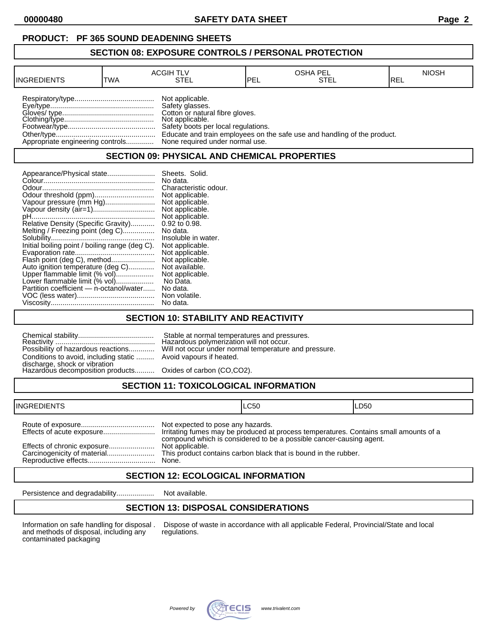**00000480 SAFETY DATA SHEET Page 2**

### **PRODUCT: PF 365 SOUND DEADENING SHEETS**

#### **SECTION 08: EXPOSURE CONTROLS / PERSONAL PROTECTION**

| <b>INGREDIENTS</b> | TWA | <b>ACGIH TLV</b><br>STEL                                                                                                                                                                            | 'PEL | <b>OSHA PEL</b><br>STEL                                                  | <b>NIOSH</b><br>IREL |
|--------------------|-----|-----------------------------------------------------------------------------------------------------------------------------------------------------------------------------------------------------|------|--------------------------------------------------------------------------|----------------------|
|                    |     | Not applicable.<br>Safety glasses.<br>Cotton or natural fibre gloves.<br>Not applicable.<br>Safety boots per local regulations.<br>Appropriate engineering controls None required under normal use. |      | Educate and train employees on the safe use and handling of the product. |                      |

### **SECTION 09: PHYSICAL AND CHEMICAL PROPERTIES**

| Appearance/Physical state                      | Sheets. Solid.        |
|------------------------------------------------|-----------------------|
|                                                | No data.              |
|                                                | Characteristic odour. |
|                                                | Not applicable.       |
| Vapour pressure (mm Hg)                        | Not applicable.       |
|                                                | Not applicable.       |
|                                                | Not applicable.       |
| Relative Density (Specific Gravity)            | $0.92$ to $0.98$ .    |
| Melting / Freezing point (deg C)               | No data.              |
|                                                | Insoluble in water.   |
| Initial boiling point / boiling range (deg C). | Not applicable.       |
|                                                | Not applicable.       |
| Flash point (deg C), method                    | Not applicable.       |
| Auto ignition temperature (deg C)              | Not available.        |
| Upper flammable limit (% vol)                  | Not applicable.       |
| Lower flammable limit (% vol)                  | No Data.              |
| Partition coefficient — n-octanol/water        | No data.              |
|                                                |                       |
|                                                |                       |

#### **SECTION 10: STABILITY AND REACTIVITY**

| Possibility of hazardous reactions                                |  |
|-------------------------------------------------------------------|--|
| Conditions to avoid, including static                             |  |
| discharge, shock or vibratioñ<br>Hazardous decomposition products |  |
|                                                                   |  |

Chemical stability...................................... Stable at normal temperatures and pressures. Hazardous polymerization will not occur. Will not occur under normal temperature and pressure. Avoid vapours if heated.

Oxides of carbon (CO,CO2).

# **SECTION 11: TOXICOLOGICAL INFORMATION**

| <b>INGREDIENTS</b><br>----- | ILC50 | LDS0 |
|-----------------------------|-------|------|
|                             |       |      |

| compound which is considered to be a possible cancer-causing agent. |
|---------------------------------------------------------------------|
|                                                                     |

## **SECTION 12: ECOLOGICAL INFORMATION**

Persistence and degradability................... Not available.

# **SECTION 13: DISPOSAL CONSIDERATIONS**

and methods of disposal, including any regulations. contaminated packaging

Information on safe handling for disposal . Dispose of waste in accordance with all applicable Federal, Provincial/State and local and methods of disposal, including any regulations.